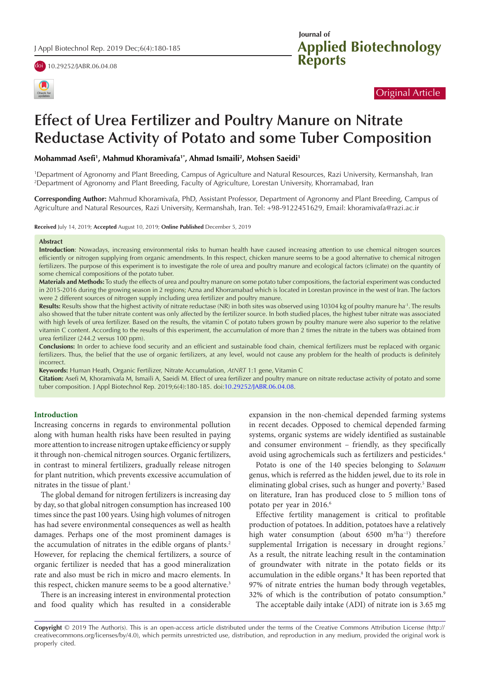





## Original Article

# **Effect of Urea Fertilizer and Poultry Manure on Nitrate Reductase Activity of Potato and some Tuber Composition**

**Mohammad Asefi1 , Mahmud Khoramivafa1\*, Ahmad Ismaili2 , Mohsen Saeidi1**

1 Department of Agronomy and Plant Breeding, Campus of Agriculture and Natural Resources, Razi University, Kermanshah, Iran 2 Department of Agronomy and Plant Breeding, Faculty of Agriculture, Lorestan University, Khorramabad, Iran

**Corresponding Author:** Mahmud Khoramivafa, PhD, Assistant Professor, Department of Agronomy and Plant Breeding, Campus of Agriculture and Natural Resources, Razi University, Kermanshah, Iran. Tel: +98-9122451629, Email: khoramivafa@razi.ac.ir

**Received** July 14, 2019; **Accepted** August 10, 2019; **Online Published** December 5, 2019

#### **Abstract**

**Introduction**: Nowadays, increasing environmental risks to human health have caused increasing attention to use chemical nitrogen sources efficiently or nitrogen supplying from organic amendments. In this respect, chicken manure seems to be a good alternative to chemical nitrogen fertilizers. The purpose of this experiment is to investigate the role of urea and poultry manure and ecological factors (climate) on the quantity of some chemical compositions of the potato tuber.

**Materials and Methods:** To study the effects of urea and poultry manure on some potato tuber compositions, the factorial experiment was conducted in 2015-2016 during the growing season in 2 regions; Azna and Khorramabad which is located in Lorestan province in the west of Iran. The factors were 2 different sources of nitrogen supply including urea fertilizer and poultry manure.

Results: Results show that the highest activity of nitrate reductase (NR) in both sites was observed using 10304 kg of poultry manure ha<sup>-1</sup>. The results also showed that the tuber nitrate content was only affected by the fertilizer source. In both studied places, the highest tuber nitrate was associated with high levels of urea fertilizer. Based on the results, the vitamin C of potato tubers grown by poultry manure were also superior to the relative vitamin C content. According to the results of this experiment, the accumulation of more than 2 times the nitrate in the tubers was obtained from urea fertilizer (244.2 versus 100 ppm).

**Conclusions:** In order to achieve food security and an efficient and sustainable food chain, chemical fertilizers must be replaced with organic fertilizers. Thus, the belief that the use of organic fertilizers, at any level, would not cause any problem for the health of products is definitely incorrect.

**Keywords:** Human Heath, Organic Fertilizer, Nitrate Accumulation, *AtNRT* 1:1 gene, Vitamin C

**Citation:** Asefi M, Khoramivafa M, Ismaili A, Saeidi M. Effect of urea fertilizer and poultry manure on nitrate reductase activity of potato and some tuber composition. J Appl Biotechnol Rep. 2019;6(4):180-185. doi[:10.29252/JABR.06.04.08.](https://doi.org/10.29252/JABR.06.04.08)

#### **Introduction**

Increasing concerns in regards to environmental pollution along with human health risks have been resulted in paying more attention to increase nitrogen uptake efficiency or supply it through non-chemical nitrogen sources. Organic fertilizers, in contrast to mineral fertilizers, gradually release nitrogen for plant nutrition, which prevents excessive accumulation of nitrates in the tissue of plant.<sup>1</sup>

The global demand for nitrogen fertilizers is increasing day by day, so that global nitrogen consumption has increased 100 times since the past 100 years. Using high volumes of nitrogen has had severe environmental consequences as well as health damages. Perhaps one of the most prominent damages is the accumulation of nitrates in the edible organs of plants.<sup>2</sup> However, for replacing the chemical fertilizers, a source of organic fertilizer is needed that has a good mineralization rate and also must be rich in micro and macro elements. In this respect, chicken manure seems to be a good alternative.<sup>3</sup>

There is an increasing interest in environmental protection and food quality which has resulted in a considerable expansion in the non-chemical depended farming systems in recent decades. Opposed to chemical depended farming systems, organic systems are widely identified as sustainable and consumer environment – friendly, as they specifically avoid using agrochemicals such as fertilizers and pesticides.4

Potato is one of the 140 species belonging to *Solanum* genus, which is referred as the hidden jewel, due to its role in eliminating global crises, such as hunger and poverty.<sup>5</sup> Based on literature, Iran has produced close to 5 million tons of potato per year in 2016.<sup>6</sup>

Effective fertility management is critical to profitable production of potatoes. In addition, potatoes have a relatively high water consumption (about 6500 m<sup>3</sup>ha<sup>-1</sup>) therefore supplemental Irrigation is necessary in drought regions.<sup>7</sup> As a result, the nitrate leaching result in the contamination of groundwater with nitrate in the potato fields or its accumulation in the edible organs.<sup>8</sup> It has been reported that 97% of nitrate entries the human body through vegetables, 32% of which is the contribution of potato consumption.9

The acceptable daily intake (ADI) of nitrate ion is 3.65 mg

**Copyright** © 2019 The Author(s). This is an open-access article distributed under the terms of the Creative Commons Attribution License (http:// creativecommons.org/licenses/by/4.0), which permits unrestricted use, distribution, and reproduction in any medium, provided the original work is properly cited.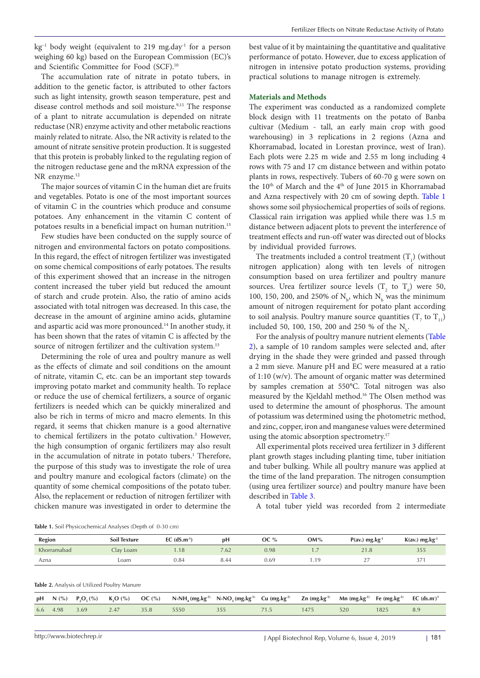$kg<sup>-1</sup>$  body weight (equivalent to 219 mg.day<sup>-1</sup> for a person weighing 60 kg) based on the European Commission (EC)'s and Scientific Committee for Food (SCF).<sup>10</sup>

The accumulation rate of nitrate in potato tubers, in addition to the genetic factor, is attributed to other factors such as light intensity, growth season temperature, pest and disease control methods and soil moisture.<sup>9,11</sup> The response of a plant to nitrate accumulation is depended on nitrate reductase (NR) enzyme activity and other metabolic reactions mainly related to nitrate. Also, the NR activity is related to the amount of nitrate sensitive protein production. It is suggested that this protein is probably linked to the regulating region of the nitrogen reductase gene and the mRNA expression of the NR enzyme.<sup>12</sup>

The major sources of vitamin C in the human diet are fruits and vegetables. Potato is one of the most important sources of vitamin C in the countries which produce and consume potatoes. Any enhancement in the vitamin C content of potatoes results in a beneficial impact on human nutrition.<sup>13</sup>

Few studies have been conducted on the supply source of nitrogen and environmental factors on potato compositions. In this regard, the effect of nitrogen fertilizer was investigated on some chemical compositions of early potatoes. The results of this experiment showed that an increase in the nitrogen content increased the tuber yield but reduced the amount of starch and crude protein. Also, the ratio of amino acids associated with total nitrogen was decreased. In this case, the decrease in the amount of arginine amino acids, glutamine and aspartic acid was more pronounced.<sup>14</sup> In another study, it has been shown that the rates of vitamin C is affected by the source of nitrogen fertilizer and the cultivation system.15

Determining the role of urea and poultry manure as well as the effects of climate and soil conditions on the amount of nitrate, vitamin C, etc. can be an important step towards improving potato market and community health. To replace or reduce the use of chemical fertilizers, a source of organic fertilizers is needed which can be quickly mineralized and also be rich in terms of micro and macro elements. In this regard, it seems that chicken manure is a good alternative to chemical fertilizers in the potato cultivation.<sup>3</sup> However, the high consumption of organic fertilizers may also result in the accumulation of nitrate in potato tubers.<sup>1</sup> Therefore, the purpose of this study was to investigate the role of urea and poultry manure and ecological factors (climate) on the quantity of some chemical compositions of the potato tuber. Also, the replacement or reduction of nitrogen fertilizer with chicken manure was investigated in order to determine the

best value of it by maintaining the quantitative and qualitative performance of potato. However, due to excess application of nitrogen in intensive potato production systems, providing practical solutions to manage nitrogen is extremely.

#### **Materials and Methods**

The experiment was conducted as a randomized complete block design with 11 treatments on the potato of Banba cultivar (Medium - tall, an early main crop with good warehousing) in 3 replications in 2 regions (Azna and Khorramabad, located in Lorestan province, west of Iran). Each plots were 2.25 m wide and 2.55 m long including 4 rows with 75 and 17 cm distance between and within potato plants in rows, respectively. Tubers of 60-70 g were sown on the 10<sup>th</sup> of March and the 4<sup>th</sup> of June 2015 in Khorramabad and Azna respectively with 20 cm of sowing depth. [Table 1](#page-1-0)  shows some soil physiochemical properties of soils of regions. Classical rain irrigation was applied while there was 1.5 m distance between adjacent plots to prevent the interference of treatment effects and run-off water was directed out of blocks by individual provided furrows.

The treatments included a control treatment  $(T_1)$  (without nitrogen application) along with ten levels of nitrogen consumption based on urea fertilizer and poultry manure sources. Urea fertilizer source levels  $(T_2$  to  $T_6)$  were 50, 100, 150, 200, and 250% of  $N_b$ , which  $N_b$  was the minimum amount of nitrogen requirement for potato plant according to soil analysis. Poultry manure source quantities  $(T_7$  to  $T_{11})$ included 50, 100, 150, 200 and 250 % of the  $N_b$ .

For the analysis of poultry manure nutrient elements [\(Table](#page-1-1)  [2\)](#page-1-1), a sample of 10 random samples were selected and, after drying in the shade they were grinded and passed through a 2 mm sieve. Manure pH and EC were measured at a ratio of 1:10 (w/v). The amount of organic matter was determined by samples cremation at 550°C. Total nitrogen was also measured by the Kjeldahl method.16 The Olsen method was used to determine the amount of phosphorus. The amount of potassium was determined using the photometric method, and zinc, copper, iron and manganese values were determined using the atomic absorption spectrometry.<sup>17</sup>

All experimental plots received urea fertilizer in 3 different plant growth stages including planting time, tuber initiation and tuber bulking. While all poultry manure was applied at the time of the land preparation. The nitrogen consumption (using urea fertilizer source) and poultry manure have been described in [Table 3.](#page-2-0)

A total tuber yield was recorded from 2 intermediate

<span id="page-1-0"></span>**Table 1.** Soil Physicochemical Analyses (Depth of 0-30 cm)

| <b>Region</b> | <b>Soil Texture</b> | EC $(dS.m^{-1})$ | pН   | OC % | OM% | $P(av.)$ mg.kg <sup>-1</sup> | $K(av.)$ mg.kg <sup>-1</sup> |
|---------------|---------------------|------------------|------|------|-----|------------------------------|------------------------------|
| Khorramabad   | Clay Loam           | 1.18             | 7.62 | 0.98 |     | 21<br>41.O                   | 355                          |
| Azna          | Loam                | 0.84             | 8.44 | 0.69 |     | $\sim$ $-$<br>-<br>---       | $\sim -1$<br>3/7             |

<span id="page-1-1"></span>**Table 2.** Analysis of Utilized Poultry Manure

|          |      |     |      | pH N (%) $P_2O_5(%)$ K,O (%) OC (%) N-NH <sub>4</sub> (mg.kg <sup>-1)</sup> N-NO <sub>3</sub> (mg.kg <sup>-1)</sup> Cu (mg.kg <sup>-1)</sup> Zn (mg.kg <sup>-1)</sup> Mn (mg.kg <sup>-1)</sup> Fe (mg.kg <sup>-1)</sup> EC (ds.m <sup>-1</sup> |      |     |      |     |
|----------|------|-----|------|------------------------------------------------------------------------------------------------------------------------------------------------------------------------------------------------------------------------------------------------|------|-----|------|-----|
| 6.6 4.98 | 3.69 | 247 | 5550 |                                                                                                                                                                                                                                                | 1475 | 520 | 1825 | 8.9 |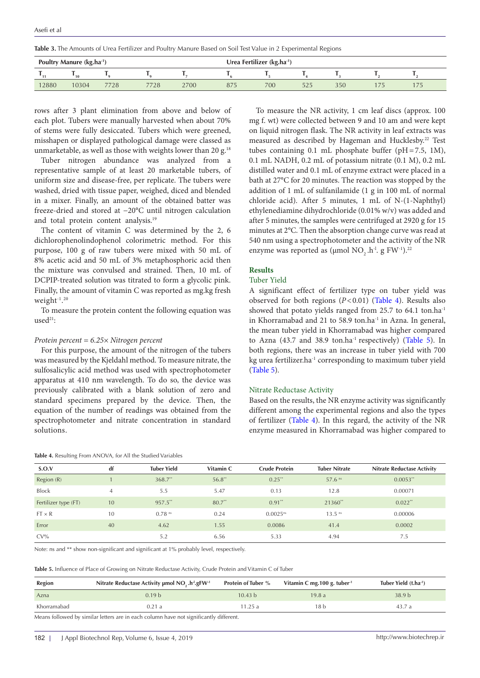<span id="page-2-0"></span>**Table 3.** The Amounts of Urea Fertilizer and Poultry Manure Based on Soil Test Value in 2 Experimental Regions

| Poultry Manure (kg.ha <sup>-1</sup> ) |       |      |      |      | Urea Fertilizer (kg.ha-1) |     |     |     |                |               |
|---------------------------------------|-------|------|------|------|---------------------------|-----|-----|-----|----------------|---------------|
|                                       | 10    |      |      |      |                           |     |     |     |                |               |
| 12880                                 | 10304 | 7728 | 7728 | 2700 | 875                       | 700 | 525 | 350 | $\overline{7}$ | $- -$<br>17 J |

rows after 3 plant elimination from above and below of each plot. Tubers were manually harvested when about 70% of stems were fully desiccated. Tubers which were greened, misshapen or displayed pathological damage were classed as unmarketable, as well as those with weights lower than 20 g.<sup>18</sup>

Tuber nitrogen abundance was analyzed from a representative sample of at least 20 marketable tubers, of uniform size and disease-free, per replicate. The tubers were washed, dried with tissue paper, weighed, diced and blended in a mixer. Finally, an amount of the obtained batter was freeze-dried and stored at −20°C until nitrogen calculation and total protein content analysis.19

The content of vitamin C was determined by the 2, 6 dichlorophenolindophenol colorimetric method. For this purpose, 100 g of raw tubers were mixed with 50 mL of 8% acetic acid and 50 mL of 3% metaphosphoric acid then the mixture was convulsed and strained. Then, 10 mL of DCPIP-treated solution was titrated to form a glycolic pink. Finally, the amount of vitamin C was reported as mg.kg fresh weight-1. 20

To measure the protein content the following equation was  $used<sup>21</sup>$ :

#### *Protein percent = 6.25× Nitrogen percent*

For this purpose, the amount of the nitrogen of the tubers was measured by the Kjeldahl method. To measure nitrate, the sulfosalicylic acid method was used with spectrophotometer apparatus at 410 nm wavelength. To do so, the device was previously calibrated with a blank solution of zero and standard specimens prepared by the device. Then, the equation of the number of readings was obtained from the spectrophotometer and nitrate concentration in standard solutions.

#### <span id="page-2-1"></span>**Table 4.** Resulting From ANOVA, for All the Studied Variables

To measure the NR activity, 1 cm leaf discs (approx. 100 mg f. wt) were collected between 9 and 10 am and were kept on liquid nitrogen flask. The NR activity in leaf extracts was measured as described by Hageman and Hucklesby.<sup>22</sup> Test tubes containing 0.1 mL phosphate buffer (pH=7.5, 1M), 0.1 mL NADH, 0.2 mL of potassium nitrate (0.1 M), 0.2 mL distilled water and 0.1 mL of enzyme extract were placed in a bath at 27°C for 20 minutes. The reaction was stopped by the addition of 1 mL of sulfanilamide (1 g in 100 mL of normal chloride acid). After 5 minutes, 1 mL of N-(1-Naphthyl) ethylenediamine dihydrochloride (0.01% w/v) was added and after 5 minutes, the samples were centrifuged at 2920 g for 15 minutes at 2°C. Then the absorption change curve was read at 540 nm using a spectrophotometer and the activity of the NR enzyme was reported as (µmol NO<sub>2</sub> .h<sup>-1</sup>. g FW<sup>-1</sup>).<sup>22</sup>

## **Results**

## Tuber Yield

A significant effect of fertilizer type on tuber yield was observed for both regions (*P*<0.01) ([Table 4\)](#page-2-1). Results also showed that potato yields ranged from 25.7 to 64.1 ton.ha<sup>-1</sup> in Khorramabad and 21 to 58.9 ton.ha<sup>-1</sup> in Azna. In general, the mean tuber yield in Khorramabad was higher compared to Azna (43.7 and 38.9 ton.ha<sup>-1</sup> respectively) [\(Table 5\)](#page-2-2). In both regions, there was an increase in tuber yield with 700 kg urea fertilizer.ha<sup>-1</sup> corresponding to maximum tuber yield [\(Table 5\)](#page-2-2).

#### Nitrate Reductase Activity

Based on the results, the NR enzyme activity was significantly different among the experimental regions and also the types of fertilizer ([Table 4](#page-2-1)). In this regard, the activity of the NR enzyme measured in Khorramabad was higher compared to

| S.O.V                | df | <b>Tuber Yield</b>   | Vitamin C | <b>Crude Protein</b>   | <b>Tuber Nitrate</b> | <b>Nitrate Reductase Activity</b> |
|----------------------|----|----------------------|-----------|------------------------|----------------------|-----------------------------------|
| Region (R)           |    | $368.7**$            | $56.8**$  | $0.25**$               | $57.6$ <sup>ns</sup> | $0.0053$ **                       |
| <b>Block</b>         | 4  | 5.5                  | 5.47      | 0.13                   | 12.8                 | 0.00071                           |
| Fertilizer type (FT) | 10 | 957.5**              | $80.7**$  | $0.91**$               | $21360**$            | $0.022**$                         |
| $FT \times R$        | 10 | $0.78$ <sup>ns</sup> | 0.24      | $0.0025$ <sup>ns</sup> | $13.5$ <sup>ns</sup> | 0.00006                           |
| Error                | 40 | 4.62                 | 1.55      | 0.0086                 | 41.4                 | 0.0002                            |
| $CV\%$               |    | 5.2                  | 6.56      | 5.33                   | 4.94                 | 7.5                               |

Note: ns and \*\* show non-significant and significant at 1% probably level, respectively.

<span id="page-2-2"></span>

| Region      | Nitrate Reductase Activity µmol NO <sub>2</sub> .h <sup>-1</sup> .gFW <sup>-1</sup> | <b>Protein of Tuber %</b> | Vitamin C mg. $100$ g. tuber <sup>1</sup> | Tuber Yield (t.ha <sup>-1</sup> ) |
|-------------|-------------------------------------------------------------------------------------|---------------------------|-------------------------------------------|-----------------------------------|
| Azna        | 0.19 <sub>b</sub>                                                                   | 10.43 b                   | 19.8a                                     | 38.9 <sub>b</sub>                 |
| Khorramabad | 0.21 a                                                                              | 11.25 a                   | 18 b                                      | 43.7 a                            |

Means followed by similar letters are in each column have not significantly different.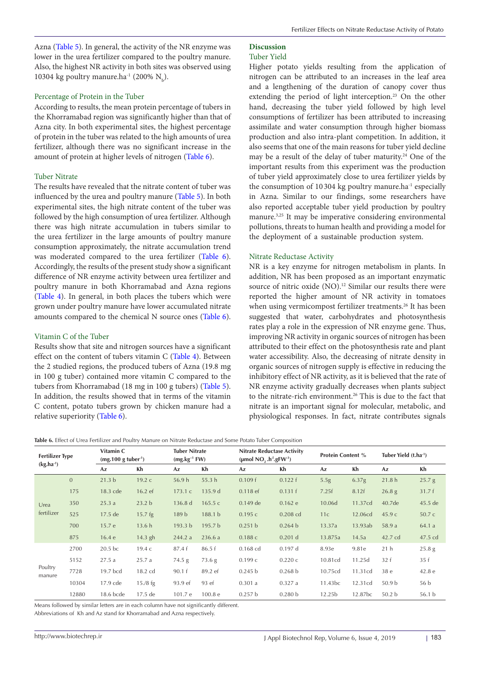Azna [\(Table 5\)](#page-2-2). In general, the activity of the NR enzyme was lower in the urea fertilizer compared to the poultry manure. Also, the highest NR activity in both sites was observed using 10304 kg poultry manure.ha<sup>-1</sup> (200%  $N_b$ ).

#### Percentage of Protein in the Tuber

According to results, the mean protein percentage of tubers in the Khorramabad region was significantly higher than that of Azna city. In both experimental sites, the highest percentage of protein in the tuber was related to the high amounts of urea fertilizer, although there was no significant increase in the amount of protein at higher levels of nitrogen [\(Table 6\)](#page-3-0).

### Tuber Nitrate

The results have revealed that the nitrate content of tuber was influenced by the urea and poultry manure [\(Table 5\)](#page-2-2). In both experimental sites, the high nitrate content of the tuber was followed by the high consumption of urea fertilizer. Although there was high nitrate accumulation in tubers similar to the urea fertilizer in the large amounts of poultry manure consumption approximately, the nitrate accumulation trend was moderated compared to the urea fertilizer ([Table 6\)](#page-3-0). Accordingly, the results of the present study show a significant difference of NR enzyme activity between urea fertilizer and poultry manure in both Khorramabad and Azna regions ([Table 4\)](#page-2-1). In general, in both places the tubers which were grown under poultry manure have lower accumulated nitrate amounts compared to the chemical N source ones ([Table 6\)](#page-3-0).

#### Vitamin C of the Tuber

Results show that site and nitrogen sources have a significant effect on the content of tubers vitamin C ([Table 4\)](#page-2-1). Between the 2 studied regions, the produced tubers of Azna (19.8 mg in 100 g tuber) contained more vitamin C compared to the tubers from Khorramabad (18 mg in 100 g tubers) ([Table 5\)](#page-2-2). In addition, the results showed that in terms of the vitamin C content, potato tubers grown by chicken manure had a relative superiority [\(Table 6\)](#page-3-0).

## **Discussion**

## Tuber Yield

Higher potato yields resulting from the application of nitrogen can be attributed to an increases in the leaf area and a lengthening of the duration of canopy cover thus extending the period of light interception.<sup>23</sup> On the other hand, decreasing the tuber yield followed by high level consumptions of fertilizer has been attributed to increasing assimilate and water consumption through higher biomass production and also intra-plant competition. In addition, it also seems that one of the main reasons for tuber yield decline may be a result of the delay of tuber maturity.<sup>24</sup> One of the important results from this experiment was the production of tuber yield approximately close to urea fertilizer yields by the consumption of 10 304 kg poultry manure.ha<sup>-1</sup> especially in Azna. Similar to our findings, some researchers have also reported acceptable tuber yield production by poultry manure.<sup>3,25</sup> It may be imperative considering environmental pollutions, threats to human health and providing a model for the deployment of a sustainable production system.

#### Nitrate Reductase Activity

NR is a key enzyme for nitrogen metabolism in plants. In addition, NR has been proposed as an important enzymatic source of nitric oxide (NO).<sup>12</sup> Similar our results there were reported the higher amount of NR activity in tomatoes when using vermicompost fertilizer treatments.<sup>26</sup> It has been suggested that water, carbohydrates and photosynthesis rates play a role in the expression of NR enzyme gene. Thus, improving NR activity in organic sources of nitrogen has been attributed to their effect on the photosynthesis rate and plant water accessibility. Also, the decreasing of nitrate density in organic sources of nitrogen supply is effective in reducing the inhibitory effect of NR activity, as it is believed that the rate of NR enzyme activity gradually decreases when plants subject to the nitrate-rich environment.<sup>26</sup> This is due to the fact that nitrate is an important signal for molecular, metabolic, and physiological responses. In fact, nitrate contributes signals

<span id="page-3-0"></span>**Table 6.** Effect of Urea Fertilizer and Poultry Manure on Nitrate Reductase and Some Potato Tuber Composition

| <b>Fertilizer Type</b><br>$(kg.ha^{-1})$ |              | Vitamin C<br>$(mg.100 g tuber-1)$ |                   |                    | <b>Tuber Nitrate</b><br>$(mg.kg^{-1}FW)$ |            | <b>Nitrate Reductase Activity</b><br>(µmol $NO_2 \cdot h^{-1} \cdot gFW^{-1}$ ) |         | <b>Protein Content %</b> |                   | Tuber Yield (t.ha <sup>-1</sup> ) |  |
|------------------------------------------|--------------|-----------------------------------|-------------------|--------------------|------------------------------------------|------------|---------------------------------------------------------------------------------|---------|--------------------------|-------------------|-----------------------------------|--|
|                                          |              | Az                                | Kh                | Az                 | Kh                                       | Az         | Kh                                                                              | Az      | Kh                       | Az                | Кh                                |  |
|                                          | $\mathbf{0}$ | 21.3 <sub>b</sub>                 | 19.2c             | 56.9h              | 55.3 <sub>h</sub>                        | 0.109 f    | 0.122 f                                                                         | 5.5g    | 6.37 <sub>g</sub>        | 21.8h             | 25.7 g                            |  |
| Urea<br>fertilizer                       | 175          | 18.3 cde                          | $16.2$ ef         | 173.1c             | 135.9 d                                  | $0.118$ ef | 0.131 f                                                                         | 7.25f   | 8.12f                    | 26.8 <sub>g</sub> | 31.7f                             |  |
|                                          | 350          | 25.3a                             | 23.2 <sub>b</sub> | 136.8 <sub>d</sub> | 165.5c                                   | $0.149$ de | 0.162 e                                                                         | 10.06d  | 11.37cd                  | 40.7de            | 45.5 de                           |  |
|                                          | 525          | $17.5$ de                         | $15.7$ fg         | 189 <sub>b</sub>   | 188.1 b                                  | 0.195c     | $0.208$ cd                                                                      | 11c     | 12.06cd                  | 45.9 с            | 50.7 c                            |  |
|                                          | 700          | 15.7 e                            | 13.6 <sub>h</sub> | 193.3 <sub>b</sub> | 195.7 b                                  | 0.251 b    | 0.264 b                                                                         | 13.37a  | 13.93ab                  | 58.9 a            | 64.1 a                            |  |
|                                          | 875          | 16.4e                             | $14.3$ gh         | 244.2 a            | 236.6a                                   | 0.188c     | $0.201$ d                                                                       | 13.875a | 14.5a                    | 42.7 cd           | 47.5 cd                           |  |
|                                          | 2700         | $20.5$ bc                         | 19.4 с            | 87.4f              | 86.5f                                    | $0.168$ cd | $0.197$ d                                                                       | 8.93e   | 9.81e                    | 21 <sub>h</sub>   | 25.8 <sub>g</sub>                 |  |
|                                          | 5152         | 27.5a                             | 25.7 a            | 74.5 g             | 73.6 g                                   | 0.199c     | 0.220c                                                                          | 10.81cd | 11.25d                   | 32f               | 35f                               |  |
| Poultry<br>manure                        | 7728         | 19.7 bcd                          | 18.2 cd           | 90.1 f             | 89.2 ef                                  | 0.245 b    | 0.268 b                                                                         | 10.75cd | 11.31cd                  | 38 e              | 42.8 e                            |  |
|                                          | 10304        | 17.9 cde                          | $15/8$ fg         | 93.9 ef            | 93 ef                                    | 0.301a     | 0.327a                                                                          | 11.43bc | 12.31cd                  | 50.9 <sub>b</sub> | 56 b                              |  |
|                                          | 12880        | 18.6 bcde                         | $17.5$ de         | 101.7 e            | 100.8 e                                  | 0.257 b    | 0.280 b                                                                         | 12.25b  | 12.87 <sub>bc</sub>      | 50.2 <sub>b</sub> | 56.1 <sub>b</sub>                 |  |

Means followed by similar letters are in each column have not significantly different.

Abbreviations of Kh and Az stand for Khorramabad and Azna respectively.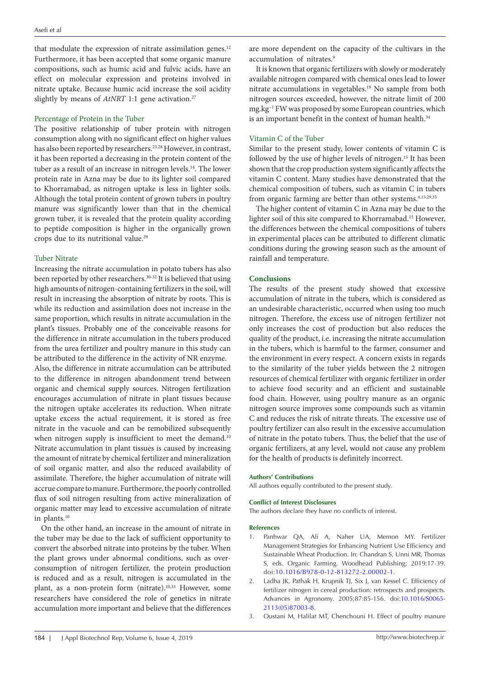that modulate the expression of nitrate assimilation genes.<sup>12</sup> Furthermore, it has been accepted that some organic manure compositions, such as humic acid and fulvic acids, have an effect on molecular expression and proteins involved in nitrate uptake. Because humic acid increase the soil acidity slightly by means of *AtNRT* 1:1 gene activation.<sup>27</sup>

## Percentage of Protein in the Tuber

The positive relationship of tuber protein with nitrogen consumption along with no significant effect on higher values has also been reported by researchers.23,28 However, in contrast, it has been reported a decreasing in the protein content of the tuber as a result of an increase in nitrogen levels.<sup>14</sup>. The lower protein rate in Azna may be due to its lighter soil compared to Khorramabad, as nitrogen uptake is less in lighter soils. Although the total protein content of grown tubers in poultry manure was significantly lower than that in the chemical grown tuber, it is revealed that the protein quality according to peptide composition is higher in the organically grown crops due to its nutritional value.<sup>29</sup>

## Tuber Nitrate

Increasing the nitrate accumulation in potato tubers has also been reported by other researchers.30-32 It is believed that using high amounts of nitrogen-containing fertilizers in the soil, will result in increasing the absorption of nitrate by roots. This is while its reduction and assimilation does not increase in the same proportion, which results in nitrate accumulation in the plant's tissues. Probably one of the conceivable reasons for the difference in nitrate accumulation in the tubers produced from the urea fertilizer and poultry manure in this study can be attributed to the difference in the activity of NR enzyme. Also, the difference in nitrate accumulation can be attributed to the difference in nitrogen abandonment trend between organic and chemical supply sources. Nitrogen fertilization encourages accumulation of nitrate in plant tissues because the nitrogen uptake accelerates its reduction. When nitrate uptake excess the actual requirement, it is stored as free nitrate in the vacuole and can be remobilized subsequently when nitrogen supply is insufficient to meet the demand.<sup>10</sup> Nitrate accumulation in plant tissues is caused by increasing the amount of nitrate by chemical fertilizer and mineralization of soil organic matter, and also the reduced availability of assimilate. Therefore, the higher accumulation of nitrate will accrue compare to manure. Furthermore, the poorly controlled flux of soil nitrogen resulting from active mineralization of organic matter may lead to excessive accumulation of nitrate in plants.10

On the other hand, an increase in the amount of nitrate in the tuber may be due to the lack of sufficient opportunity to convert the absorbed nitrate into proteins by the tuber. When the plant grows under abnormal conditions, such as overconsumption of nitrogen fertilizer, the protein production is reduced and as a result, nitrogen is accumulated in the plant, as a non-protein form (nitrate).<sup>10,33</sup> However, some researchers have considered the role of genetics in nitrate accumulation more important and believe that the differences

are more dependent on the capacity of the cultivars in the accumulation of nitrates.<sup>9</sup>

It is known that organic fertilizers with slowly or moderately available nitrogen compared with chemical ones lead to lower nitrate accumulations in vegetables.19 No sample from both nitrogen sources exceeded, however, the nitrate limit of 200 mg.kg−1 FW was proposed by some European countries, which is an important benefit in the context of human health.<sup>34</sup>

## Vitamin C of the Tuber

Similar to the present study, lower contents of vitamin C is followed by the use of higher levels of nitrogen.<sup>15</sup> It has been shown that the crop production system significantly affects the vitamin C content. Many studies have demonstrated that the chemical composition of tubers, such as vitamin C in tubers from organic farming are better than other systems.<sup>4,15,29,35</sup>

The higher content of vitamin C in Azna may be due to the lighter soil of this site compared to Khorramabad.15 However, the differences between the chemical compositions of tubers in experimental places can be attributed to different climatic conditions during the growing season such as the amount of rainfall and temperature.

## **Conclusions**

The results of the present study showed that excessive accumulation of nitrate in the tubers, which is considered as an undesirable characteristic, occurred when using too much nitrogen. Therefore, the excess use of nitrogen fertilizer not only increases the cost of production but also reduces the quality of the product, i.e. increasing the nitrate accumulation in the tubers, which is harmful to the farmer, consumer and the environment in every respect. A concern exists in regards to the similarity of the tuber yields between the 2 nitrogen resources of chemical fertilizer with organic fertilizer in order to achieve food security and an efficient and sustainable food chain. However, using poultry manure as an organic nitrogen source improves some compounds such as vitamin C and reduces the risk of nitrate threats. The excessive use of poultry fertilizer can also result in the excessive accumulation of nitrate in the potato tubers. Thus, the belief that the use of organic fertilizers, at any level, would not cause any problem for the health of products is definitely incorrect.

## **Authors' Contributions**

All authors equally contributed to the present study.

## **Conflict of Interest Disclosures**

The authors declare they have no conflicts of interest.

#### **References**

- 1. Panhwar QA, Ali A, Naher UA, Memon MY. Fertilizer Management Strategies for Enhancing Nutrient Use Efficiency and Sustainable Wheat Production. In: Chandran S, Unni MR, Thomas S, eds. Organic Farming. Woodhead Publishing; 2019:17-39. doi:[10.1016/B978-0-12-813272-2.00002-1](https://doi.org/10.1016/B978-0-12-813272-2.00002-1).
- 2. Ladha JK, Pathak H, Krupnik TJ, Six J, van Kessel C. Efficiency of fertilizer nitrogen in cereal production: retrospects and prospects. Advances in Agronomy. 2005;87:85-156. doi[:10.1016/S0065-](https://doi.org/10.1016/S0065-2113(05)87003-8) [2113\(05\)87003-8.](https://doi.org/10.1016/S0065-2113(05)87003-8)
- 3. Oustani M, Halilat MT, Chenchouni H. Effect of poultry manure